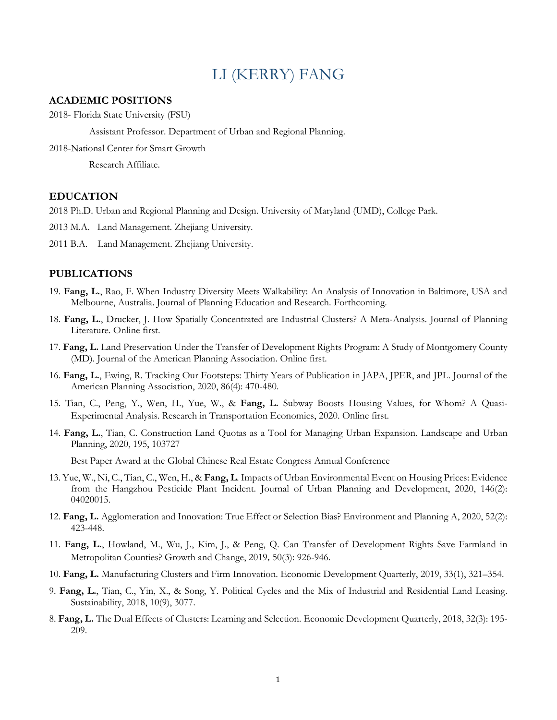# LI (KERRY) FANG

#### **ACADEMIC POSITIONS**

2018- Florida State University (FSU)

Assistant Professor. Department of Urban and Regional Planning.

2018-National Center for Smart Growth

Research Affiliate.

## **EDUCATION**

- 2018 Ph.D. Urban and Regional Planning and Design. University of Maryland (UMD), College Park.
- 2013 M.A. Land Management. Zhejiang University.
- 2011 B.A. Land Management. Zhejiang University.

#### **PUBLICATIONS**

- 19. **Fang, L.**, Rao, F. When Industry Diversity Meets Walkability: An Analysis of Innovation in Baltimore, USA and Melbourne, Australia. Journal of Planning Education and Research. Forthcoming.
- 18. **Fang, L.**, Drucker, J. How Spatially Concentrated are Industrial Clusters? A Meta-Analysis. Journal of Planning Literature. Online first.
- 17. **Fang, L.** Land Preservation Under the Transfer of Development Rights Program: A Study of Montgomery County (MD). Journal of the American Planning Association. Online first.
- 16. **Fang, L.**, Ewing, R. Tracking Our Footsteps: Thirty Years of Publication in JAPA, JPER, and JPL. Journal of the American Planning Association, 2020, 86(4): 470-480.
- 15. Tian, C., Peng, Y., Wen, H., Yue, W., & **Fang, L.** Subway Boosts Housing Values, for Whom? A Quasi-Experimental Analysis. Research in Transportation Economics, 2020. Online first.
- 14. **Fang, L.**, Tian, C. Construction Land Quotas as a Tool for Managing Urban Expansion. Landscape and Urban Planning, 2020, 195, 103727

Best Paper Award at the Global Chinese Real Estate Congress Annual Conference

- 13. Yue, W., Ni, C., Tian, C., Wen, H., & **Fang, L**. Impacts of Urban Environmental Event on Housing Prices: Evidence from the Hangzhou Pesticide Plant Incident. Journal of Urban Planning and Development, 2020, 146(2): 04020015.
- 12. **Fang, L.** Agglomeration and Innovation: True Effect or Selection Bias? Environment and Planning A, 2020, 52(2): 423-448.
- 11. **Fang, L.**, Howland, M., Wu, J., Kim, J., & Peng, Q. Can Transfer of Development Rights Save Farmland in Metropolitan Counties? Growth and Change, 2019, 50(3): 926-946.
- 10. **Fang, L.** Manufacturing Clusters and Firm Innovation. Economic Development Quarterly, 2019, 33(1), 321–354.
- 9. **Fang, L.**, Tian, C., Yin, X., & Song, Y. Political Cycles and the Mix of Industrial and Residential Land Leasing. Sustainability, 2018, 10(9), 3077.
- 8. **Fang, L.** The Dual Effects of Clusters: Learning and Selection. Economic Development Quarterly, 2018, 32(3): 195- 209.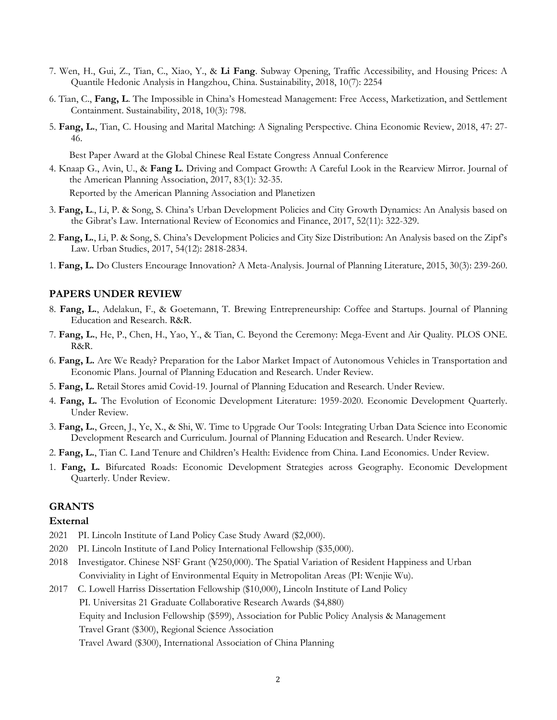- 7. Wen, H., Gui, Z., Tian, C., Xiao, Y., & **Li Fang**. Subway Opening, Traffic Accessibility, and Housing Prices: A Quantile Hedonic Analysis in Hangzhou, China. Sustainability, 2018, 10(7): 2254
- 6. Tian, C., **Fang, L**. The Impossible in China's Homestead Management: Free Access, Marketization, and Settlement Containment. Sustainability, 2018, 10(3): 798.
- 5. **Fang, L.**, Tian, C. Housing and Marital Matching: A Signaling Perspective. China Economic Review, 2018, 47: 27- 46.

Best Paper Award at the Global Chinese Real Estate Congress Annual Conference

4. Knaap G., Avin, U., & **Fang L**. Driving and Compact Growth: A Careful Look in the Rearview Mirror. Journal of the American Planning Association, 2017, 83(1): 32-35.

Reported by the American Planning Association and Planetizen

- 3. **Fang, L**., Li, P. & Song, S. China's Urban Development Policies and City Growth Dynamics: An Analysis based on the Gibrat's Law. International Review of Economics and Finance, 2017, 52(11): 322-329.
- 2. **Fang, L.**, Li, P. & Song, S. China's Development Policies and City Size Distribution: An Analysis based on the Zipf's Law. Urban Studies, 2017, 54(12): 2818-2834.
- 1. **Fang, L.** Do Clusters Encourage Innovation? A Meta-Analysis. Journal of Planning Literature, 2015, 30(3): 239-260.

#### **PAPERS UNDER REVIEW**

- 8. **Fang, L.**, Adelakun, F., & Goetemann, T. Brewing Entrepreneurship: Coffee and Startups. Journal of Planning Education and Research. R&R.
- 7. **Fang, L.**, He, P., Chen, H., Yao, Y., & Tian, C. Beyond the Ceremony: Mega-Event and Air Quality. PLOS ONE. R&R.
- 6. **Fang, L.** Are We Ready? Preparation for the Labor Market Impact of Autonomous Vehicles in Transportation and Economic Plans. Journal of Planning Education and Research. Under Review.
- 5. **Fang, L.** Retail Stores amid Covid-19. Journal of Planning Education and Research. Under Review.
- 4. **Fang, L.** The Evolution of Economic Development Literature: 1959-2020. Economic Development Quarterly. Under Review.
- 3. **Fang, L.**, Green, J., Ye, X., & Shi, W. Time to Upgrade Our Tools: Integrating Urban Data Science into Economic Development Research and Curriculum. Journal of Planning Education and Research. Under Review.
- 2. **Fang, L.**, Tian C. Land Tenure and Children's Health: Evidence from China. Land Economics. Under Review.
- 1. **Fang, L.** Bifurcated Roads: Economic Development Strategies across Geography. Economic Development Quarterly. Under Review.

#### **GRANTS**

#### **External**

- 2021 PI. Lincoln Institute of Land Policy Case Study Award (\$2,000).
- 2020 PI. Lincoln Institute of Land Policy International Fellowship (\$35,000).
- 2018 Investigator. Chinese NSF Grant (¥250,000). The Spatial Variation of Resident Happiness and Urban Conviviality in Light of Environmental Equity in Metropolitan Areas (PI: Wenjie Wu).
- 2017 C. Lowell Harriss Dissertation Fellowship (\$10,000), Lincoln Institute of Land Policy PI. Universitas 21 Graduate Collaborative Research Awards (\$4,880) Equity and Inclusion Fellowship (\$599), Association for Public Policy Analysis & Management Travel Grant (\$300), Regional Science Association Travel Award (\$300), International Association of China Planning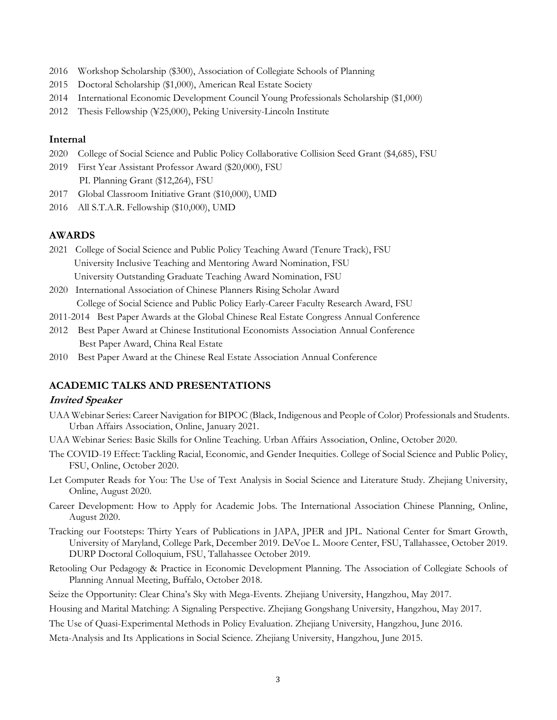- 2016 Workshop Scholarship (\$300), Association of Collegiate Schools of Planning
- 2015 Doctoral Scholarship (\$1,000), American Real Estate Society
- 2014 International Economic Development Council Young Professionals Scholarship (\$1,000)
- 2012 Thesis Fellowship (¥25,000), Peking University-Lincoln Institute

## **Internal**

- 2020 College of Social Science and Public Policy Collaborative Collision Seed Grant (\$4,685), FSU
- 2019 First Year Assistant Professor Award (\$20,000), FSU PI. Planning Grant (\$12,264), FSU
- 2017 Global Classroom Initiative Grant (\$10,000), UMD
- 2016 All S.T.A.R. Fellowship (\$10,000), UMD

## **AWARDS**

- 2021 College of Social Science and Public Policy Teaching Award (Tenure Track), FSU University Inclusive Teaching and Mentoring Award Nomination, FSU University Outstanding Graduate Teaching Award Nomination, FSU
- 2020 International Association of Chinese Planners Rising Scholar Award College of Social Science and Public Policy Early-Career Faculty Research Award, FSU
- 2011-2014 Best Paper Awards at the Global Chinese Real Estate Congress Annual Conference
- 2012 Best Paper Award at Chinese Institutional Economists Association Annual Conference Best Paper Award, China Real Estate
- 2010 Best Paper Award at the Chinese Real Estate Association Annual Conference

## **ACADEMIC TALKS AND PRESENTATIONS**

#### **Invited Speaker**

- UAA Webinar Series: Career Navigation for BIPOC (Black, Indigenous and People of Color) Professionals and Students. Urban Affairs Association, Online, January 2021.
- UAA Webinar Series: Basic Skills for Online Teaching. Urban Affairs Association, Online, October 2020.
- The COVID-19 Effect: Tackling Racial, Economic, and Gender Inequities. College of Social Science and Public Policy, FSU, Online, October 2020.
- Let Computer Reads for You: The Use of Text Analysis in Social Science and Literature Study. Zhejiang University, Online, August 2020.
- Career Development: How to Apply for Academic Jobs. The International Association Chinese Planning, Online, August 2020.
- Tracking our Footsteps: Thirty Years of Publications in JAPA, JPER and JPL. National Center for Smart Growth, University of Maryland, College Park, December 2019. DeVoe L. Moore Center, FSU, Tallahassee, October 2019. DURP Doctoral Colloquium, FSU, Tallahassee October 2019.
- Retooling Our Pedagogy & Practice in Economic Development Planning. The Association of Collegiate Schools of Planning Annual Meeting, Buffalo, October 2018.
- Seize the Opportunity: Clear China's Sky with Mega-Events. Zhejiang University, Hangzhou, May 2017.
- Housing and Marital Matching: A Signaling Perspective. Zhejiang Gongshang University, Hangzhou, May 2017.
- The Use of Quasi-Experimental Methods in Policy Evaluation. Zhejiang University, Hangzhou, June 2016.
- Meta-Analysis and Its Applications in Social Science. Zhejiang University, Hangzhou, June 2015.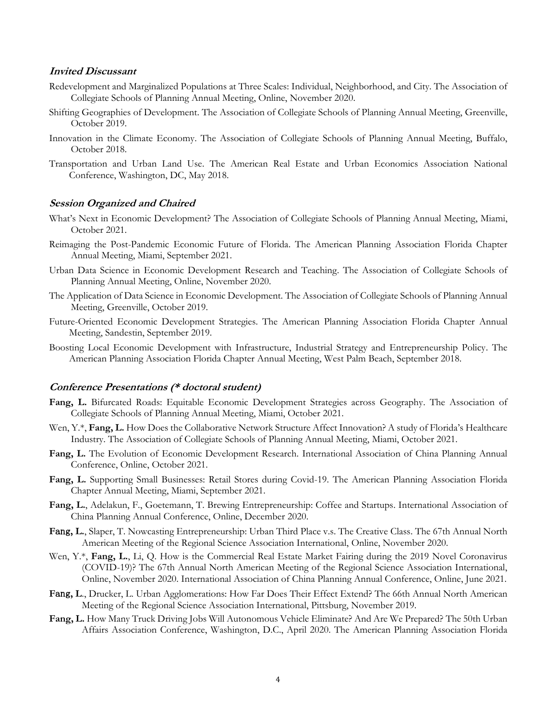#### **Invited Discussant**

- Redevelopment and Marginalized Populations at Three Scales: Individual, Neighborhood, and City. The Association of Collegiate Schools of Planning Annual Meeting, Online, November 2020.
- Shifting Geographies of Development. The Association of Collegiate Schools of Planning Annual Meeting, Greenville, October 2019.
- Innovation in the Climate Economy. The Association of Collegiate Schools of Planning Annual Meeting, Buffalo, October 2018.
- Transportation and Urban Land Use. The American Real Estate and Urban Economics Association National Conference, Washington, DC, May 2018.

#### **Session Organized and Chaired**

- What's Next in Economic Development? The Association of Collegiate Schools of Planning Annual Meeting, Miami, October 2021.
- Reimaging the Post-Pandemic Economic Future of Florida. The American Planning Association Florida Chapter Annual Meeting, Miami, September 2021.
- Urban Data Science in Economic Development Research and Teaching. The Association of Collegiate Schools of Planning Annual Meeting, Online, November 2020.
- The Application of Data Science in Economic Development. The Association of Collegiate Schools of Planning Annual Meeting, Greenville, October 2019.
- Future-Oriented Economic Development Strategies. The American Planning Association Florida Chapter Annual Meeting, Sandestin, September 2019.
- Boosting Local Economic Development with Infrastructure, Industrial Strategy and Entrepreneurship Policy. The American Planning Association Florida Chapter Annual Meeting, West Palm Beach, September 2018.

#### **Conference Presentations (\* doctoral student)**

- **Fang, L.** Bifurcated Roads: Equitable Economic Development Strategies across Geography. The Association of Collegiate Schools of Planning Annual Meeting, Miami, October 2021.
- Wen, Y.\*, **Fang, L.** How Does the Collaborative Network Structure Affect Innovation? A study of Florida's Healthcare Industry. The Association of Collegiate Schools of Planning Annual Meeting, Miami, October 2021.
- **Fang, L.** The Evolution of Economic Development Research. International Association of China Planning Annual Conference, Online, October 2021.
- **Fang, L.** Supporting Small Businesses: Retail Stores during Covid-19. The American Planning Association Florida Chapter Annual Meeting, Miami, September 2021.
- **Fang, L.**, Adelakun, F., Goetemann, T. Brewing Entrepreneurship: Coffee and Startups. International Association of China Planning Annual Conference, Online, December 2020.
- **F**ang**, L.**, Slaper, T. Nowcasting Entrepreneurship: Urban Third Place v.s. The Creative Class. The 67th Annual North American Meeting of the Regional Science Association International, Online, November 2020.
- Wen, Y.\*, **Fang, L.**, Li, O. How is the Commercial Real Estate Market Fairing during the 2019 Novel Coronavirus (COVID-19)? The 67th Annual North American Meeting of the Regional Science Association International, Online, November 2020. International Association of China Planning Annual Conference, Online, June 2021.
- **F**ang**, L**., Drucker, L. Urban Agglomerations: How Far Does Their Effect Extend? The 66th Annual North American Meeting of the Regional Science Association International, Pittsburg, November 2019.
- **Fang, L.** How Many Truck Driving Jobs Will Autonomous Vehicle Eliminate? And Are We Prepared? The 50th Urban Affairs Association Conference, Washington, D.C., April 2020. The American Planning Association Florida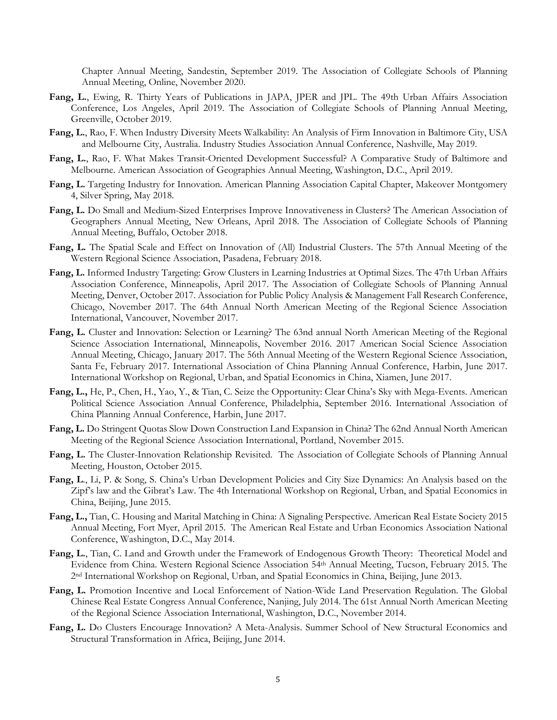Chapter Annual Meeting, Sandestin, September 2019. The Association of Collegiate Schools of Planning Annual Meeting, Online, November 2020.

- **Fang, L.**, Ewing, R. Thirty Years of Publications in JAPA, JPER and JPL. The 49th Urban Affairs Association Conference, Los Angeles, April 2019. The Association of Collegiate Schools of Planning Annual Meeting, Greenville, October 2019.
- **Fang, L.**, Rao, F. When Industry Diversity Meets Walkability: An Analysis of Firm Innovation in Baltimore City, USA and Melbourne City, Australia. Industry Studies Association Annual Conference, Nashville, May 2019.
- **Fang, L.**, Rao, F. What Makes Transit-Oriented Development Successful? A Comparative Study of Baltimore and Melbourne. American Association of Geographies Annual Meeting, Washington, D.C., April 2019.
- **Fang, L.** Targeting Industry for Innovation. American Planning Association Capital Chapter, Makeover Montgomery 4, Silver Spring, May 2018.
- **Fang, L.** Do Small and Medium-Sized Enterprises Improve Innovativeness in Clusters? The American Association of Geographers Annual Meeting, New Orleans, April 2018. The Association of Collegiate Schools of Planning Annual Meeting, Buffalo, October 2018.
- **Fang, L.** The Spatial Scale and Effect on Innovation of (All) Industrial Clusters. The 57th Annual Meeting of the Western Regional Science Association, Pasadena, February 2018.
- **Fang, L.** Informed Industry Targeting: Grow Clusters in Learning Industries at Optimal Sizes. The 47th Urban Affairs Association Conference, Minneapolis, April 2017. The Association of Collegiate Schools of Planning Annual Meeting, Denver, October 2017. Association for Public Policy Analysis & Management Fall Research Conference, Chicago, November 2017. The 64th Annual North American Meeting of the Regional Science Association International, Vancouver, November 2017.
- **Fang, L.** Cluster and Innovation: Selection or Learning? The 63nd annual North American Meeting of the Regional Science Association International, Minneapolis, November 2016. 2017 American Social Science Association Annual Meeting, Chicago, January 2017. The 56th Annual Meeting of the Western Regional Science Association, Santa Fe, February 2017. International Association of China Planning Annual Conference, Harbin, June 2017. International Workshop on Regional, Urban, and Spatial Economics in China, Xiamen, June 2017.
- **Fang, L.,** He, P., Chen, H., Yao, Y., & Tian, C. Seize the Opportunity: Clear China's Sky with Mega-Events. American Political Science Association Annual Conference, Philadelphia, September 2016. International Association of China Planning Annual Conference, Harbin, June 2017.
- **Fang, L.** Do Stringent Quotas Slow Down Construction Land Expansion in China? The 62nd Annual North American Meeting of the Regional Science Association International, Portland, November 2015.
- **Fang, L.** The Cluster-Innovation Relationship Revisited. The Association of Collegiate Schools of Planning Annual Meeting, Houston, October 2015.
- **Fang, L**., Li, P. & Song, S. China's Urban Development Policies and City Size Dynamics: An Analysis based on the Zipf's law and the Gibrat's Law. The 4th International Workshop on Regional, Urban, and Spatial Economics in China, Beijing, June 2015.
- **Fang, L.,** Tian, C. Housing and Marital Matching in China: A Signaling Perspective. American Real Estate Society 2015 Annual Meeting, Fort Myer, April 2015. The American Real Estate and Urban Economics Association National Conference, Washington, D.C., May 2014.
- **Fang, L.**, Tian, C. Land and Growth under the Framework of Endogenous Growth Theory: Theoretical Model and Evidence from China. Western Regional Science Association 54th Annual Meeting, Tucson, February 2015. The 2nd International Workshop on Regional, Urban, and Spatial Economics in China, Beijing, June 2013.
- **Fang, L.** Promotion Incentive and Local Enforcement of Nation-Wide Land Preservation Regulation. The Global Chinese Real Estate Congress Annual Conference, Nanjing, July 2014. The 61st Annual North American Meeting of the Regional Science Association International, Washington, D.C., November 2014.
- **Fang, L.** Do Clusters Encourage Innovation? A Meta-Analysis. Summer School of New Structural Economics and Structural Transformation in Africa, Beijing, June 2014.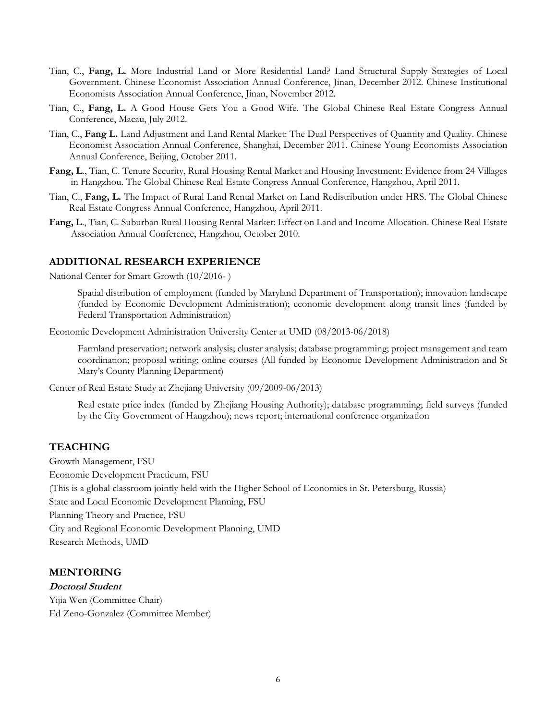- Tian, C., **Fang, L.** More Industrial Land or More Residential Land? Land Structural Supply Strategies of Local Government. Chinese Economist Association Annual Conference, Jinan, December 2012. Chinese Institutional Economists Association Annual Conference, Jinan, November 2012.
- Tian, C., **Fang, L.** A Good House Gets You a Good Wife. The Global Chinese Real Estate Congress Annual Conference, Macau, July 2012.
- Tian, C., **Fang L.** Land Adjustment and Land Rental Market: The Dual Perspectives of Quantity and Quality. Chinese Economist Association Annual Conference, Shanghai, December 2011. Chinese Young Economists Association Annual Conference, Beijing, October 2011.
- **Fang, L**., Tian, C. Tenure Security, Rural Housing Rental Market and Housing Investment: Evidence from 24 Villages in Hangzhou. The Global Chinese Real Estate Congress Annual Conference, Hangzhou, April 2011.
- Tian, C., **Fang, L.** The Impact of Rural Land Rental Market on Land Redistribution under HRS. The Global Chinese Real Estate Congress Annual Conference, Hangzhou, April 2011.
- **Fang, L**., Tian, C. Suburban Rural Housing Rental Market: Effect on Land and Income Allocation. Chinese Real Estate Association Annual Conference, Hangzhou, October 2010.

## **ADDITIONAL RESEARCH EXPERIENCE**

National Center for Smart Growth (10/2016- )

Spatial distribution of employment (funded by Maryland Department of Transportation); innovation landscape (funded by Economic Development Administration); economic development along transit lines (funded by Federal Transportation Administration)

Economic Development Administration University Center at UMD (08/2013-06/2018)

Farmland preservation; network analysis; cluster analysis; database programming; project management and team coordination; proposal writing; online courses (All funded by Economic Development Administration and St Mary's County Planning Department)

Center of Real Estate Study at Zhejiang University (09/2009-06/2013)

Real estate price index (funded by Zhejiang Housing Authority); database programming; field surveys (funded by the City Government of Hangzhou); news report; international conference organization

# **TEACHING**

Growth Management, FSU Economic Development Practicum, FSU (This is a global classroom jointly held with the Higher School of Economics in St. Petersburg, Russia) State and Local Economic Development Planning, FSU Planning Theory and Practice, FSU City and Regional Economic Development Planning, UMD Research Methods, UMD

# **MENTORING**

**Doctoral Student**  Yijia Wen (Committee Chair) Ed Zeno-Gonzalez (Committee Member)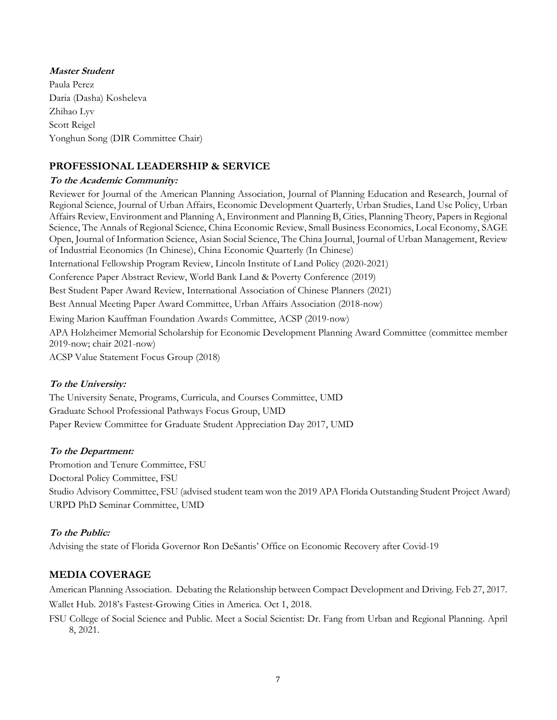# **Master Student**  Paula Perez Daria (Dasha) Kosheleva Zhihao Lyv Scott Reigel Yonghun Song (DIR Committee Chair)

# **PROFESSIONAL LEADERSHIP & SERVICE**

## **To the Academic Community:**

Reviewer for Journal of the American Planning Association, Journal of Planning Education and Research, Journal of Regional Science, Journal of Urban Affairs, Economic Development Quarterly, Urban Studies, Land Use Policy, Urban Affairs Review, Environment and Planning A, Environment and Planning B, Cities, Planning Theory, Papers in Regional Science, The Annals of Regional Science, China Economic Review, Small Business Economics, Local Economy, SAGE Open, Journal of Information Science, Asian Social Science, The China Journal, Journal of Urban Management, Review of Industrial Economics (In Chinese), China Economic Quarterly (In Chinese) International Fellowship Program Review, Lincoln Institute of Land Policy (2020-2021) Conference Paper Abstract Review, World Bank Land & Poverty Conference (2019) Best Student Paper Award Review, International Association of Chinese Planners (2021) Best Annual Meeting Paper Award Committee, Urban Affairs Association (2018-now) Ewing Marion Kauffman Foundation Awards Committee, ACSP (2019-now) APA Holzheimer Memorial Scholarship for Economic Development Planning Award Committee (committee member 2019-now; chair 2021-now)

ACSP Value Statement Focus Group (2018)

## **To the University:**

The University Senate, Programs, Curricula, and Courses Committee, UMD Graduate School Professional Pathways Focus Group, UMD Paper Review Committee for Graduate Student Appreciation Day 2017, UMD

## **To the Department:**

Promotion and Tenure Committee, FSU Doctoral Policy Committee, FSU Studio Advisory Committee, FSU (advised student team won the 2019 APA Florida Outstanding Student Project Award) URPD PhD Seminar Committee, UMD

# **To the Public:**

Advising the state of Florida Governor Ron DeSantis' Office on Economic Recovery after Covid-19

# **MEDIA COVERAGE**

American Planning Association. Debating the Relationship between Compact Development and Driving. Feb 27, 2017. Wallet Hub. 2018's Fastest-Growing Cities in America. Oct 1, 2018.

FSU College of Social Science and Public. Meet a Social Scientist: Dr. Fang from Urban and Regional Planning. April 8, 2021.